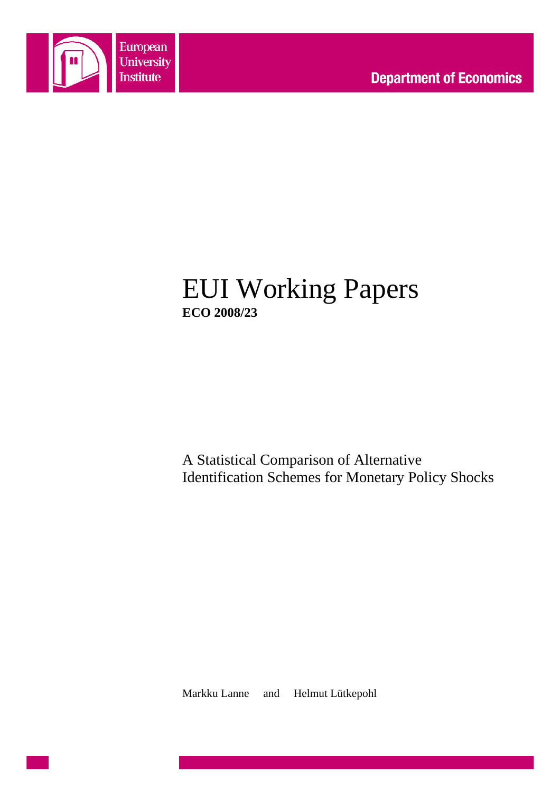

# EUI Working Papers **ECO 2008/23**

A Statistical Comparison of Alternative Identification Schemes for Monetary Policy Shocks

Markku Lanne and Helmut Lütkepohl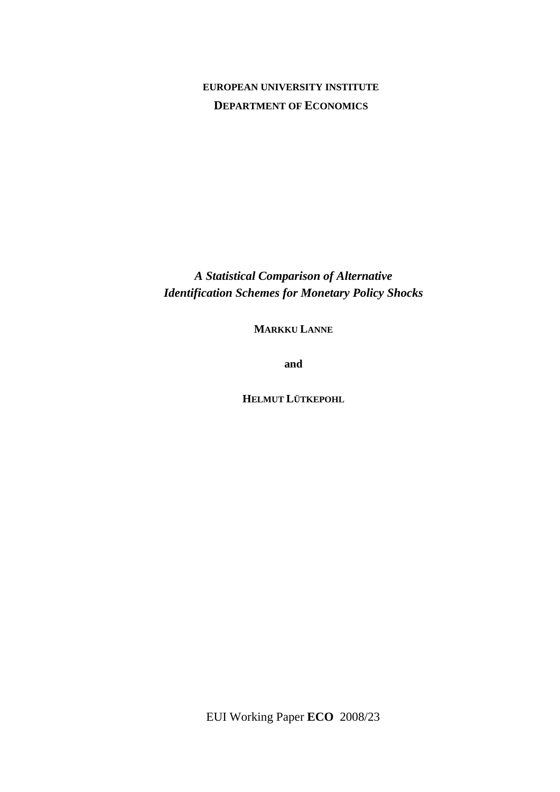#### **EUROPEAN UNIVERSITY INSTITUTE DEPARTMENT OF ECONOMICS**

*A Statistical Comparison of Alternative Identification Schemes for Monetary Policy Shocks* 

**MARKKU LANNE**

**and** 

**HELMUT LÜTKEPOHL**

EUI Working Paper **ECO** 2008/23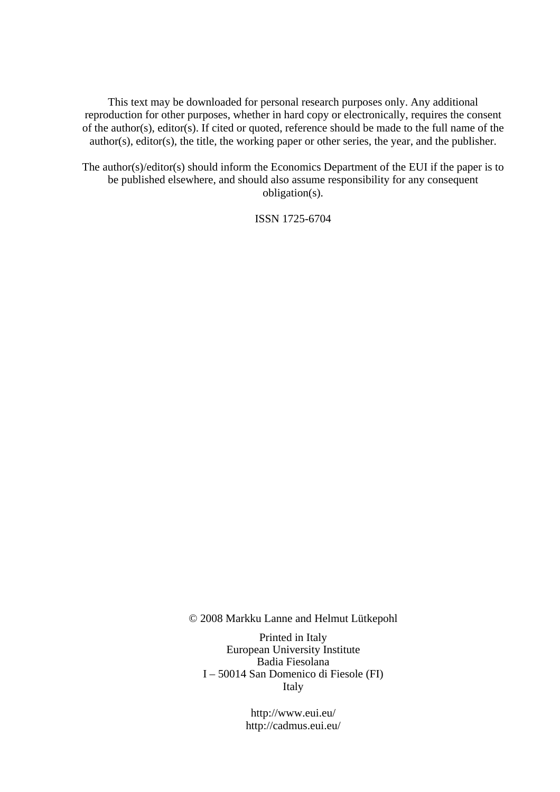This text may be downloaded for personal research purposes only. Any additional reproduction for other purposes, whether in hard copy or electronically, requires the consent of the author(s), editor(s). If cited or quoted, reference should be made to the full name of the author(s), editor(s), the title, the working paper or other series, the year, and the publisher.

The author(s)/editor(s) should inform the Economics Department of the EUI if the paper is to be published elsewhere, and should also assume responsibility for any consequent obligation(s).

ISSN 1725-6704

© 2008 Markku Lanne and Helmut Lütkepohl

Printed in Italy European University Institute Badia Fiesolana I – 50014 San Domenico di Fiesole (FI) Italy

> http://www.eui.eu/ http://cadmus.eui.eu/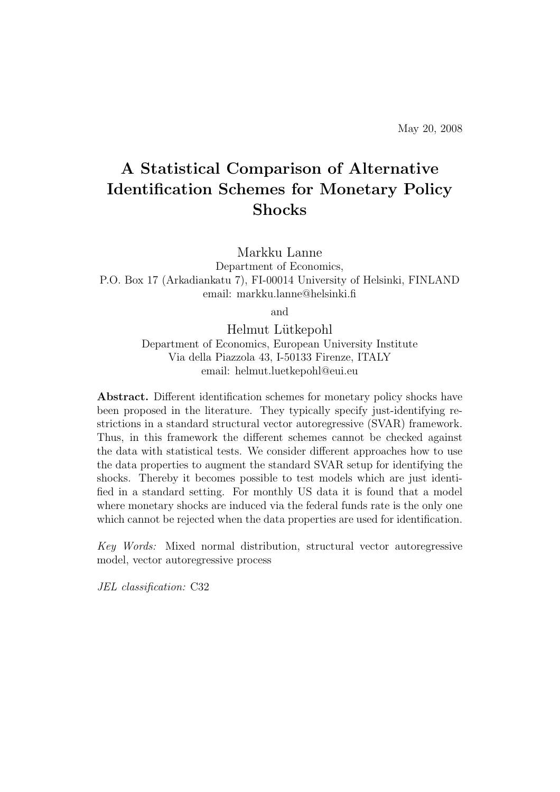## A Statistical Comparison of Alternative Identification Schemes for Monetary Policy Shocks

Markku Lanne

Department of Economics, P.O. Box 17 (Arkadiankatu 7), FI-00014 University of Helsinki, FINLAND email: markku.lanne@helsinki.fi

and

Helmut Lütkepohl Department of Economics, European University Institute Via della Piazzola 43, I-50133 Firenze, ITALY email: helmut.luetkepohl@eui.eu

Abstract. Different identification schemes for monetary policy shocks have been proposed in the literature. They typically specify just-identifying restrictions in a standard structural vector autoregressive (SVAR) framework. Thus, in this framework the different schemes cannot be checked against the data with statistical tests. We consider different approaches how to use the data properties to augment the standard SVAR setup for identifying the shocks. Thereby it becomes possible to test models which are just identified in a standard setting. For monthly US data it is found that a model where monetary shocks are induced via the federal funds rate is the only one which cannot be rejected when the data properties are used for identification.

Key Words: Mixed normal distribution, structural vector autoregressive model, vector autoregressive process

JEL classification: C32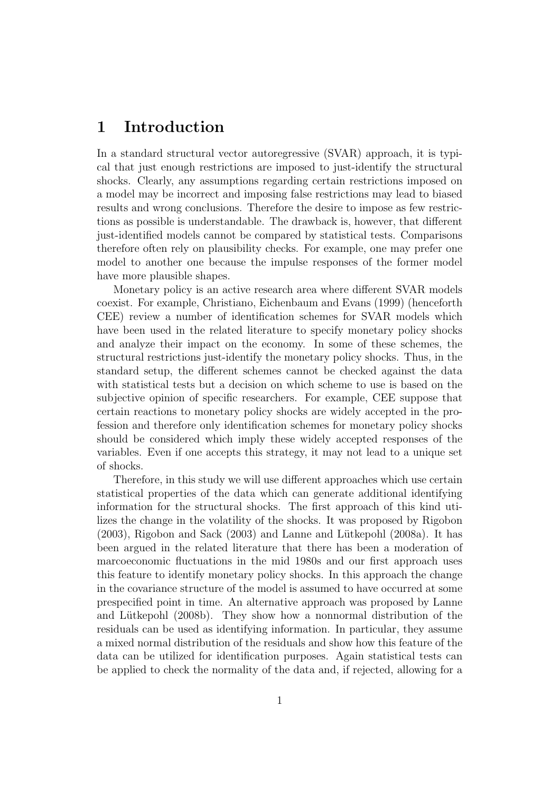### 1 Introduction

In a standard structural vector autoregressive (SVAR) approach, it is typical that just enough restrictions are imposed to just-identify the structural shocks. Clearly, any assumptions regarding certain restrictions imposed on a model may be incorrect and imposing false restrictions may lead to biased results and wrong conclusions. Therefore the desire to impose as few restrictions as possible is understandable. The drawback is, however, that different just-identified models cannot be compared by statistical tests. Comparisons therefore often rely on plausibility checks. For example, one may prefer one model to another one because the impulse responses of the former model have more plausible shapes.

Monetary policy is an active research area where different SVAR models coexist. For example, Christiano, Eichenbaum and Evans (1999) (henceforth CEE) review a number of identification schemes for SVAR models which have been used in the related literature to specify monetary policy shocks and analyze their impact on the economy. In some of these schemes, the structural restrictions just-identify the monetary policy shocks. Thus, in the standard setup, the different schemes cannot be checked against the data with statistical tests but a decision on which scheme to use is based on the subjective opinion of specific researchers. For example, CEE suppose that certain reactions to monetary policy shocks are widely accepted in the profession and therefore only identification schemes for monetary policy shocks should be considered which imply these widely accepted responses of the variables. Even if one accepts this strategy, it may not lead to a unique set of shocks.

Therefore, in this study we will use different approaches which use certain statistical properties of the data which can generate additional identifying information for the structural shocks. The first approach of this kind utilizes the change in the volatility of the shocks. It was proposed by Rigobon  $(2003)$ , Rigobon and Sack  $(2003)$  and Lanne and Lütkepohl  $(2008a)$ . It has been argued in the related literature that there has been a moderation of marcoeconomic fluctuations in the mid 1980s and our first approach uses this feature to identify monetary policy shocks. In this approach the change in the covariance structure of the model is assumed to have occurred at some prespecified point in time. An alternative approach was proposed by Lanne and Lütkepohl (2008b). They show how a nonnormal distribution of the residuals can be used as identifying information. In particular, they assume a mixed normal distribution of the residuals and show how this feature of the data can be utilized for identification purposes. Again statistical tests can be applied to check the normality of the data and, if rejected, allowing for a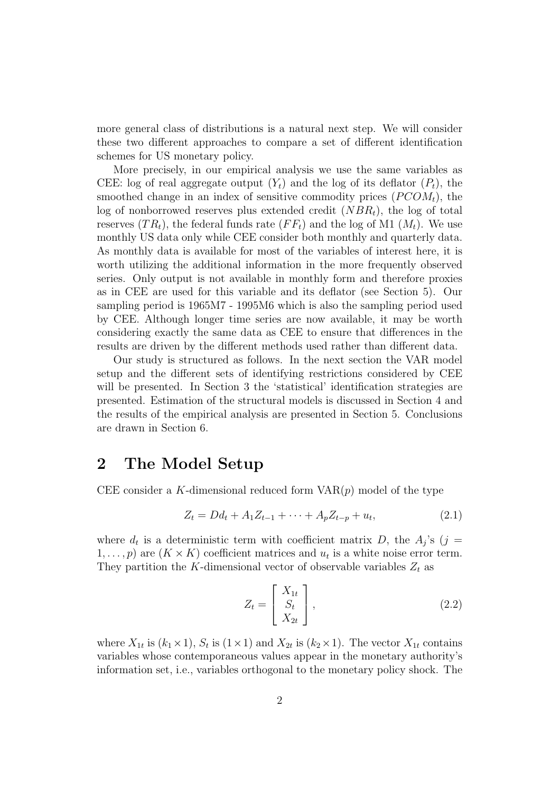more general class of distributions is a natural next step. We will consider these two different approaches to compare a set of different identification schemes for US monetary policy.

More precisely, in our empirical analysis we use the same variables as CEE: log of real aggregate output  $(Y_t)$  and the log of its deflator  $(P_t)$ , the smoothed change in an index of sensitive commodity prices  $(PCOM_t)$ , the log of nonborrowed reserves plus extended credit  $(NBR<sub>t</sub>)$ , the log of total reserves  $(T R_t)$ , the federal funds rate  $(F F_t)$  and the log of M1  $(M_t)$ . We use monthly US data only while CEE consider both monthly and quarterly data. As monthly data is available for most of the variables of interest here, it is worth utilizing the additional information in the more frequently observed series. Only output is not available in monthly form and therefore proxies as in CEE are used for this variable and its deflator (see Section 5). Our sampling period is 1965M7 - 1995M6 which is also the sampling period used by CEE. Although longer time series are now available, it may be worth considering exactly the same data as CEE to ensure that differences in the results are driven by the different methods used rather than different data.

Our study is structured as follows. In the next section the VAR model setup and the different sets of identifying restrictions considered by CEE will be presented. In Section 3 the 'statistical' identification strategies are presented. Estimation of the structural models is discussed in Section 4 and the results of the empirical analysis are presented in Section 5. Conclusions are drawn in Section 6.

#### 2 The Model Setup

CEE consider a K-dimensional reduced form  $VAR(p)$  model of the type

$$
Z_t = Dd_t + A_1 Z_{t-1} + \dots + A_p Z_{t-p} + u_t, \tag{2.1}
$$

where  $d_t$  is a deterministic term with coefficient matrix D, the  $A_j$ 's (j =  $1, \ldots, p$  are  $(K \times K)$  coefficient matrices and  $u_t$  is a white noise error term. They partition the K-dimensional vector of observable variables  $Z_t$  as

$$
Z_t = \begin{bmatrix} X_{1t} \\ S_t \\ X_{2t} \end{bmatrix},
$$
\n(2.2)

where  $X_{1t}$  is  $(k_1 \times 1)$ ,  $S_t$  is  $(1 \times 1)$  and  $X_{2t}$  is  $(k_2 \times 1)$ . The vector  $X_{1t}$  contains variables whose contemporaneous values appear in the monetary authority's information set, i.e., variables orthogonal to the monetary policy shock. The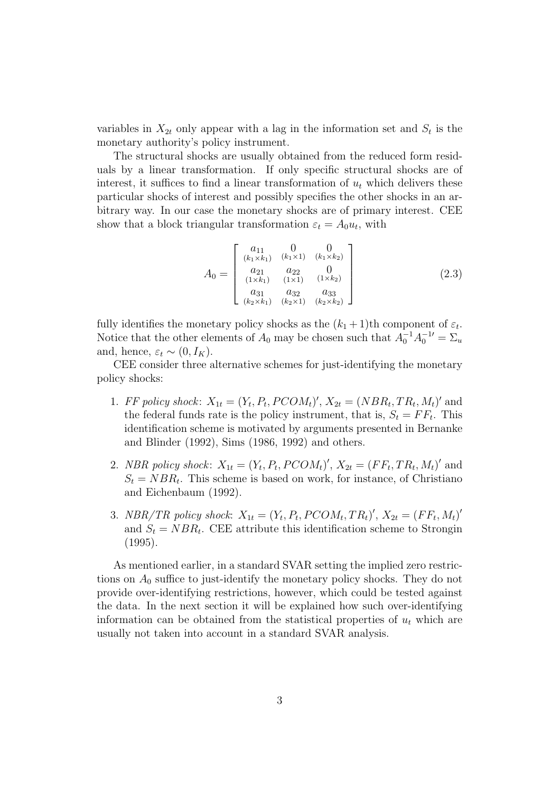variables in  $X_{2t}$  only appear with a lag in the information set and  $S_t$  is the monetary authority's policy instrument.

The structural shocks are usually obtained from the reduced form residuals by a linear transformation. If only specific structural shocks are of interest, it suffices to find a linear transformation of  $u_t$  which delivers these particular shocks of interest and possibly specifies the other shocks in an arbitrary way. In our case the monetary shocks are of primary interest. CEE show that a block triangular transformation  $\varepsilon_t = A_0 u_t$ , with

$$
A_0 = \begin{bmatrix} a_{11} & 0 & 0 \\ (k_1 \times k_1) & (k_1 \times 1) & (k_1 \times k_2) \\ a_{21} & a_{22} & 0 \\ (1 \times k_1) & (1 \times 1) & (1 \times k_2) \\ a_{31} & a_{32} & a_{33} \\ (k_2 \times k_1) & (k_2 \times 1) & (k_2 \times k_2) \end{bmatrix}
$$
 (2.3)

fully identifies the monetary policy shocks as the  $(k_1 + 1)$ th component of  $\varepsilon_t$ . Notice that the other elements of  $A_0$  may be chosen such that  $A_0^{-1}A_0^{-1} = \Sigma_u$ and, hence,  $\varepsilon_t \sim (0, I_K)$ .

CEE consider three alternative schemes for just-identifying the monetary policy shocks:

- 1. FF policy shock:  $X_{1t} = (Y_t, P_t, PCOM_t)'$ ,  $X_{2t} = (NBR_t, TR_t, M_t)'$  and the federal funds rate is the policy instrument, that is,  $S_t = FF_t$ . This identification scheme is motivated by arguments presented in Bernanke and Blinder (1992), Sims (1986, 1992) and others.
- 2. NBR policy shock:  $X_{1t} = (Y_t, P_t, PCOM_t)'$ ,  $X_{2t} = (FF_t, TR_t, M_t)'$  and  $S_t = NBR_t$ . This scheme is based on work, for instance, of Christiano and Eichenbaum (1992).
- 3. NBR/TR policy shock:  $X_{1t} = (Y_t, P_t, PCOM_t, TR_t)'$ ,  $X_{2t} = (FF_t, M_t)'$ and  $S_t = NBR_t$ . CEE attribute this identification scheme to Strongin (1995).

As mentioned earlier, in a standard SVAR setting the implied zero restrictions on  $A_0$  suffice to just-identify the monetary policy shocks. They do not provide over-identifying restrictions, however, which could be tested against the data. In the next section it will be explained how such over-identifying information can be obtained from the statistical properties of  $u_t$  which are usually not taken into account in a standard SVAR analysis.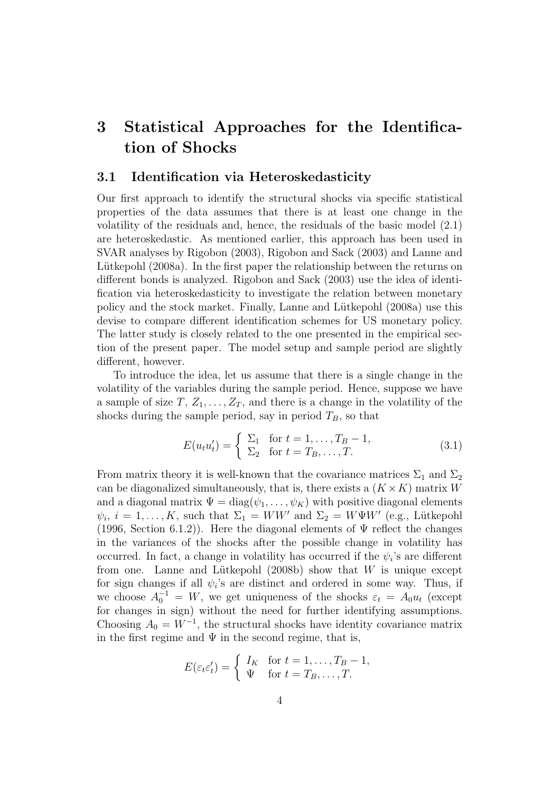### 3 Statistical Approaches for the Identification of Shocks

#### 3.1 Identification via Heteroskedasticity

Our first approach to identify the structural shocks via specific statistical properties of the data assumes that there is at least one change in the volatility of the residuals and, hence, the residuals of the basic model (2.1) are heteroskedastic. As mentioned earlier, this approach has been used in SVAR analyses by Rigobon (2003), Rigobon and Sack (2003) and Lanne and Lütkepohl (2008a). In the first paper the relationship between the returns on different bonds is analyzed. Rigobon and Sack (2003) use the idea of identification via heteroskedasticity to investigate the relation between monetary policy and the stock market. Finally, Lanne and Lütkepohl (2008a) use this devise to compare different identification schemes for US monetary policy. The latter study is closely related to the one presented in the empirical section of the present paper. The model setup and sample period are slightly different, however.

To introduce the idea, let us assume that there is a single change in the volatility of the variables during the sample period. Hence, suppose we have a sample of size  $T, Z_1, \ldots, Z_T$ , and there is a change in the volatility of the shocks during the sample period, say in period  $T_B$ , so that

$$
E(u_t u'_t) = \begin{cases} \sum_1 & \text{for } t = 1, ..., T_B - 1, \\ \sum_2 & \text{for } t = T_B, ..., T. \end{cases}
$$
 (3.1)

From matrix theory it is well-known that the covariance matrices  $\Sigma_1$  and  $\Sigma_2$ can be diagonalized simultaneously, that is, there exists a  $(K \times K)$  matrix W and a diagonal matrix  $\Psi = \text{diag}(\psi_1, \dots, \psi_K)$  with positive diagonal elements  $\psi_i, i = 1, \ldots, K$ , such that  $\Sigma_1 = WW'$  and  $\Sigma_2 = W\Psi W'$  (e.g., Lütkepohl (1996, Section 6.1.2)). Here the diagonal elements of  $\Psi$  reflect the changes in the variances of the shocks after the possible change in volatility has occurred. In fact, a change in volatility has occurred if the  $\psi_i$ 's are different from one. Lanne and Lütkepohl  $(2008b)$  show that W is unique except for sign changes if all  $\psi_i$ 's are distinct and ordered in some way. Thus, if we choose  $A_0^{-1} = W$ , we get uniqueness of the shocks  $\varepsilon_t = A_0 u_t$  (except for changes in sign) without the need for further identifying assumptions. Choosing  $A_0 = W^{-1}$ , the structural shocks have identity covariance matrix in the first regime and  $\Psi$  in the second regime, that is,

$$
E(\varepsilon_t \varepsilon'_t) = \begin{cases} I_K & \text{for } t = 1, \dots, T_B - 1, \\ \Psi & \text{for } t = T_B, \dots, T. \end{cases}
$$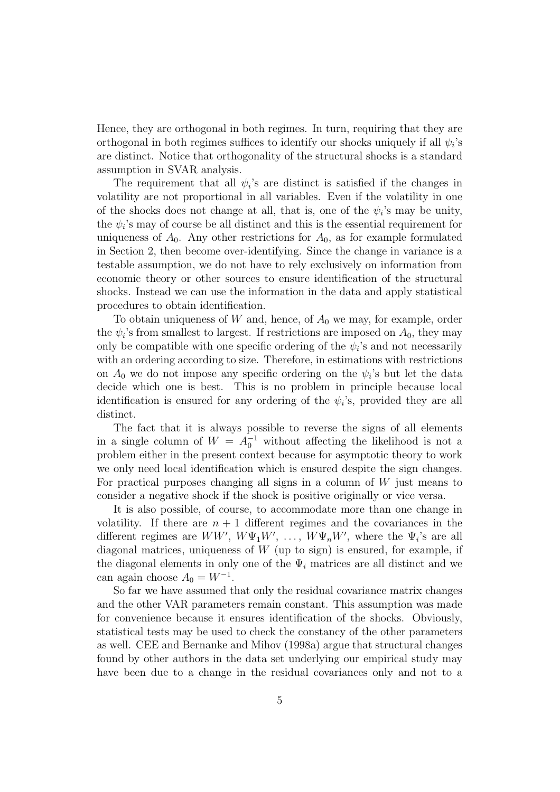Hence, they are orthogonal in both regimes. In turn, requiring that they are orthogonal in both regimes suffices to identify our shocks uniquely if all  $\psi_i$ 's are distinct. Notice that orthogonality of the structural shocks is a standard assumption in SVAR analysis.

The requirement that all  $\psi_i$ 's are distinct is satisfied if the changes in volatility are not proportional in all variables. Even if the volatility in one of the shocks does not change at all, that is, one of the  $\psi_i$ 's may be unity, the  $\psi_i$ 's may of course be all distinct and this is the essential requirement for uniqueness of  $A_0$ . Any other restrictions for  $A_0$ , as for example formulated in Section 2, then become over-identifying. Since the change in variance is a testable assumption, we do not have to rely exclusively on information from economic theory or other sources to ensure identification of the structural shocks. Instead we can use the information in the data and apply statistical procedures to obtain identification.

To obtain uniqueness of  $W$  and, hence, of  $A_0$  we may, for example, order the  $\psi_i$ 's from smallest to largest. If restrictions are imposed on  $A_0$ , they may only be compatible with one specific ordering of the  $\psi_i$ 's and not necessarily with an ordering according to size. Therefore, in estimations with restrictions on  $A_0$  we do not impose any specific ordering on the  $\psi_i$ 's but let the data decide which one is best. This is no problem in principle because local identification is ensured for any ordering of the  $\psi_i$ 's, provided they are all distinct.

The fact that it is always possible to reverse the signs of all elements in a single column of  $W = A_0^{-1}$  without affecting the likelihood is not a problem either in the present context because for asymptotic theory to work we only need local identification which is ensured despite the sign changes. For practical purposes changing all signs in a column of  $W$  just means to consider a negative shock if the shock is positive originally or vice versa.

It is also possible, of course, to accommodate more than one change in volatility. If there are  $n + 1$  different regimes and the covariances in the different regimes are  $WW'$ ,  $W\Psi_1W'$ , ...,  $W\Psi_nW'$ , where the  $\Psi_i$ 's are all diagonal matrices, uniqueness of  $W$  (up to sign) is ensured, for example, if the diagonal elements in only one of the  $\Psi_i$  matrices are all distinct and we can again choose  $A_0 = W^{-1}$ .

So far we have assumed that only the residual covariance matrix changes and the other VAR parameters remain constant. This assumption was made for convenience because it ensures identification of the shocks. Obviously, statistical tests may be used to check the constancy of the other parameters as well. CEE and Bernanke and Mihov (1998a) argue that structural changes found by other authors in the data set underlying our empirical study may have been due to a change in the residual covariances only and not to a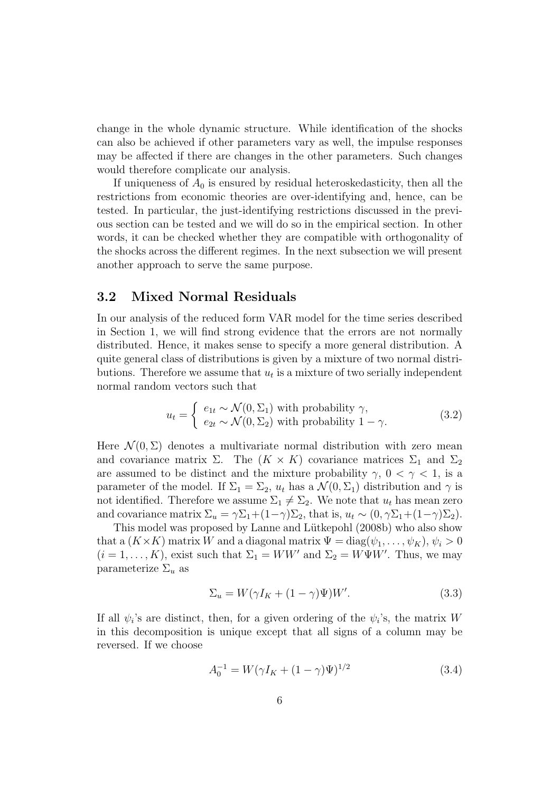change in the whole dynamic structure. While identification of the shocks can also be achieved if other parameters vary as well, the impulse responses may be affected if there are changes in the other parameters. Such changes would therefore complicate our analysis.

If uniqueness of  $A_0$  is ensured by residual heteroskedasticity, then all the restrictions from economic theories are over-identifying and, hence, can be tested. In particular, the just-identifying restrictions discussed in the previous section can be tested and we will do so in the empirical section. In other words, it can be checked whether they are compatible with orthogonality of the shocks across the different regimes. In the next subsection we will present another approach to serve the same purpose.

#### 3.2 Mixed Normal Residuals

In our analysis of the reduced form VAR model for the time series described in Section 1, we will find strong evidence that the errors are not normally distributed. Hence, it makes sense to specify a more general distribution. A quite general class of distributions is given by a mixture of two normal distributions. Therefore we assume that  $u_t$  is a mixture of two serially independent normal random vectors such that

$$
u_t = \begin{cases} e_{1t} \sim \mathcal{N}(0, \Sigma_1) \text{ with probability } \gamma, \\ e_{2t} \sim \mathcal{N}(0, \Sigma_2) \text{ with probability } 1 - \gamma. \end{cases}
$$
 (3.2)

Here  $\mathcal{N}(0, \Sigma)$  denotes a multivariate normal distribution with zero mean and covariance matrix  $\Sigma$ . The  $(K \times K)$  covariance matrices  $\Sigma_1$  and  $\Sigma_2$ are assumed to be distinct and the mixture probability  $\gamma$ ,  $0 < \gamma < 1$ , is a parameter of the model. If  $\Sigma_1 = \Sigma_2$ ,  $u_t$  has a  $\mathcal{N}(0, \Sigma_1)$  distribution and  $\gamma$  is not identified. Therefore we assume  $\Sigma_1 \neq \Sigma_2$ . We note that  $u_t$  has mean zero and covariance matrix  $\Sigma_u = \gamma \Sigma_1 + (1-\gamma) \Sigma_2$ , that is,  $u_t \sim (0, \gamma \Sigma_1 + (1-\gamma) \Sigma_2)$ .

This model was proposed by Lanne and Lütkepohl (2008b) who also show that a  $(K \times K)$  matrix W and a diagonal matrix  $\Psi = \text{diag}(\psi_1, \dots, \psi_K), \psi_i > 0$  $(i = 1, ..., K)$ , exist such that  $\Sigma_1 = WW'$  and  $\Sigma_2 = W\Psi W'$ . Thus, we may parameterize  $\Sigma_u$  as

$$
\Sigma_u = W(\gamma I_K + (1 - \gamma)\Psi)W'.\tag{3.3}
$$

If all  $\psi_i$ 's are distinct, then, for a given ordering of the  $\psi_i$ 's, the matrix W in this decomposition is unique except that all signs of a column may be reversed. If we choose

$$
A_0^{-1} = W(\gamma I_K + (1 - \gamma)\Psi)^{1/2}
$$
\n(3.4)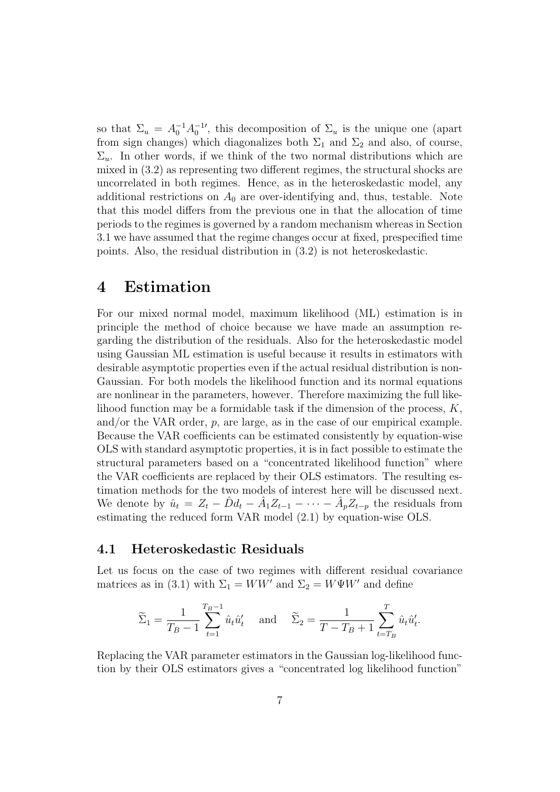so that  $\Sigma_u = A_0^{-1} A_0^{-1}$ , this decomposition of  $\Sigma_u$  is the unique one (apart from sign changes) which diagonalizes both  $\Sigma_1$  and  $\Sigma_2$  and also, of course,  $\Sigma_u$ . In other words, if we think of the two normal distributions which are mixed in (3.2) as representing two different regimes, the structural shocks are uncorrelated in both regimes. Hence, as in the heteroskedastic model, any additional restrictions on  $A_0$  are over-identifying and, thus, testable. Note that this model differs from the previous one in that the allocation of time periods to the regimes is governed by a random mechanism whereas in Section 3.1 we have assumed that the regime changes occur at fixed, prespecified time points. Also, the residual distribution in (3.2) is not heteroskedastic.

### 4 Estimation

For our mixed normal model, maximum likelihood (ML) estimation is in principle the method of choice because we have made an assumption regarding the distribution of the residuals. Also for the heteroskedastic model using Gaussian ML estimation is useful because it results in estimators with desirable asymptotic properties even if the actual residual distribution is non-Gaussian. For both models the likelihood function and its normal equations are nonlinear in the parameters, however. Therefore maximizing the full likelihood function may be a formidable task if the dimension of the process,  $K$ , and/or the VAR order,  $p$ , are large, as in the case of our empirical example. Because the VAR coefficients can be estimated consistently by equation-wise OLS with standard asymptotic properties, it is in fact possible to estimate the structural parameters based on a "concentrated likelihood function" where the VAR coefficients are replaced by their OLS estimators. The resulting estimation methods for the two models of interest here will be discussed next. We denote by  $\hat{u}_t = Z_t - \hat{D}d_t - \hat{A}_1 Z_{t-1} - \cdots - \hat{A}_p Z_{t-p}$  the residuals from estimating the reduced form VAR model (2.1) by equation-wise OLS.

#### 4.1 Heteroskedastic Residuals

Let us focus on the case of two regimes with different residual covariance matrices as in (3.1) with  $\Sigma_1 = WW'$  and  $\Sigma_2 = W\Psi W'$  and define

$$
\widetilde{\Sigma}_1 = \frac{1}{T_B - 1} \sum_{t=1}^{T_B - 1} \hat{u}_t \hat{u}'_t \quad \text{and} \quad \widetilde{\Sigma}_2 = \frac{1}{T - T_B + 1} \sum_{t=T_B}^{T} \hat{u}_t \hat{u}'_t.
$$

Replacing the VAR parameter estimators in the Gaussian log-likelihood function by their OLS estimators gives a "concentrated log likelihood function"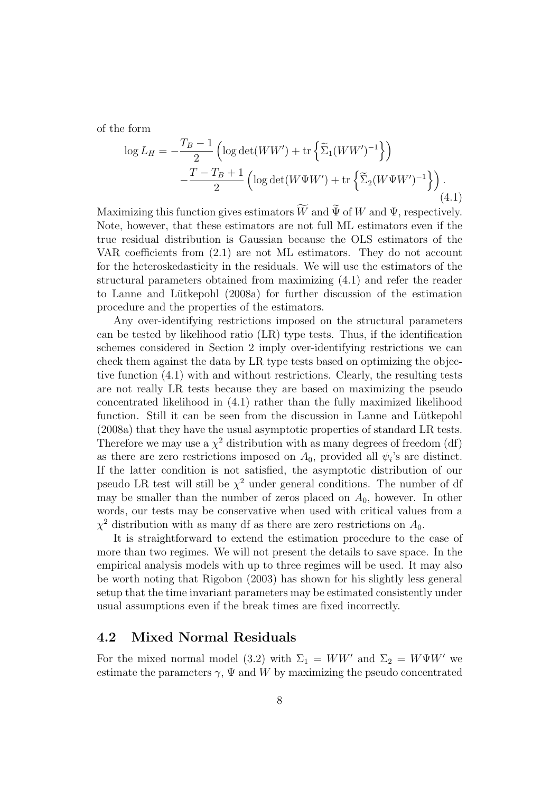of the form

$$
\log L_H = -\frac{T_B - 1}{2} \left( \log \det(WW') + \text{tr} \left\{ \widetilde{\Sigma}_1 (WW')^{-1} \right\} \right)
$$

$$
-\frac{T - T_B + 1}{2} \left( \log \det(W\Psi W') + \text{tr} \left\{ \widetilde{\Sigma}_2 (W\Psi W')^{-1} \right\} \right).
$$
(4.1)

Maximizing this function gives estimators W and  $\Psi$  of W and  $\Psi$ , respectively. Note, however, that these estimators are not full ML estimators even if the true residual distribution is Gaussian because the OLS estimators of the VAR coefficients from (2.1) are not ML estimators. They do not account for the heteroskedasticity in the residuals. We will use the estimators of the structural parameters obtained from maximizing (4.1) and refer the reader to Lanne and L¨utkepohl (2008a) for further discussion of the estimation procedure and the properties of the estimators.

Any over-identifying restrictions imposed on the structural parameters can be tested by likelihood ratio (LR) type tests. Thus, if the identification schemes considered in Section 2 imply over-identifying restrictions we can check them against the data by LR type tests based on optimizing the objective function (4.1) with and without restrictions. Clearly, the resulting tests are not really LR tests because they are based on maximizing the pseudo concentrated likelihood in (4.1) rather than the fully maximized likelihood function. Still it can be seen from the discussion in Lanne and Lütkepohl (2008a) that they have the usual asymptotic properties of standard LR tests. Therefore we may use a  $\chi^2$  distribution with as many degrees of freedom (df) as there are zero restrictions imposed on  $A_0$ , provided all  $\psi_i$ 's are distinct. If the latter condition is not satisfied, the asymptotic distribution of our pseudo LR test will still be  $\chi^2$  under general conditions. The number of df may be smaller than the number of zeros placed on  $A_0$ , however. In other words, our tests may be conservative when used with critical values from a  $\chi^2$  distribution with as many df as there are zero restrictions on  $A_0$ .

It is straightforward to extend the estimation procedure to the case of more than two regimes. We will not present the details to save space. In the empirical analysis models with up to three regimes will be used. It may also be worth noting that Rigobon (2003) has shown for his slightly less general setup that the time invariant parameters may be estimated consistently under usual assumptions even if the break times are fixed incorrectly.

#### 4.2 Mixed Normal Residuals

For the mixed normal model (3.2) with  $\Sigma_1 = WW'$  and  $\Sigma_2 = W\Psi W'$  we estimate the parameters  $\gamma$ ,  $\Psi$  and  $W$  by maximizing the pseudo concentrated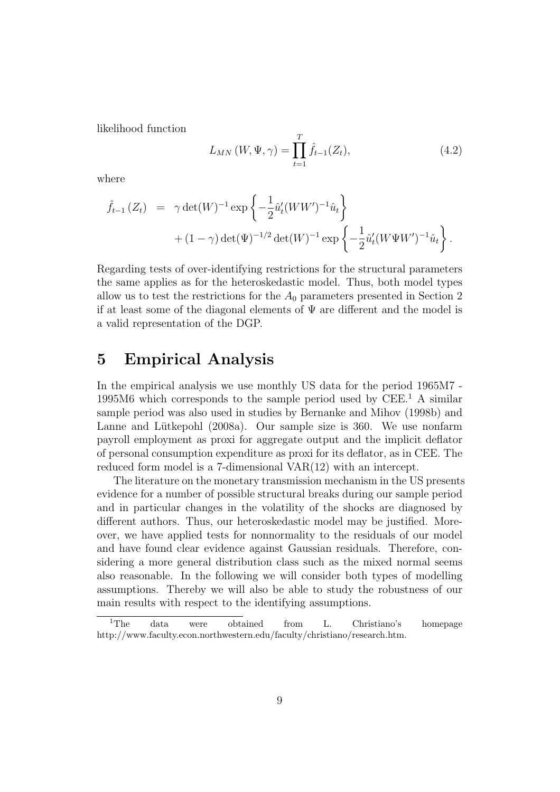likelihood function

$$
L_{MN}(W, \Psi, \gamma) = \prod_{t=1}^{T} \hat{f}_{t-1}(Z_t),
$$
\n(4.2)

where

$$
\hat{f}_{t-1}(Z_t) = \gamma \det(W)^{-1} \exp\left\{-\frac{1}{2} \hat{u}'_t(WW')^{-1} \hat{u}_t\right\} + (1-\gamma) \det(\Psi)^{-1/2} \det(W)^{-1} \exp\left\{-\frac{1}{2} \hat{u}'_t(W\Psi W')^{-1} \hat{u}_t\right\}.
$$

Regarding tests of over-identifying restrictions for the structural parameters the same applies as for the heteroskedastic model. Thus, both model types allow us to test the restrictions for the  $A_0$  parameters presented in Section 2 if at least some of the diagonal elements of  $\Psi$  are different and the model is a valid representation of the DGP.

### 5 Empirical Analysis

In the empirical analysis we use monthly US data for the period 1965M7 - 1995M6 which corresponds to the sample period used by CEE.<sup>1</sup> A similar sample period was also used in studies by Bernanke and Mihov (1998b) and Lanne and Lütkepohl (2008a). Our sample size is 360. We use nonfarm payroll employment as proxi for aggregate output and the implicit deflator of personal consumption expenditure as proxi for its deflator, as in CEE. The reduced form model is a 7-dimensional VAR(12) with an intercept.

The literature on the monetary transmission mechanism in the US presents evidence for a number of possible structural breaks during our sample period and in particular changes in the volatility of the shocks are diagnosed by different authors. Thus, our heteroskedastic model may be justified. Moreover, we have applied tests for nonnormality to the residuals of our model and have found clear evidence against Gaussian residuals. Therefore, considering a more general distribution class such as the mixed normal seems also reasonable. In the following we will consider both types of modelling assumptions. Thereby we will also be able to study the robustness of our main results with respect to the identifying assumptions.

<sup>&</sup>lt;sup>1</sup>The data were obtained from L. Christiano's homepage http://www.faculty.econ.northwestern.edu/faculty/christiano/research.htm.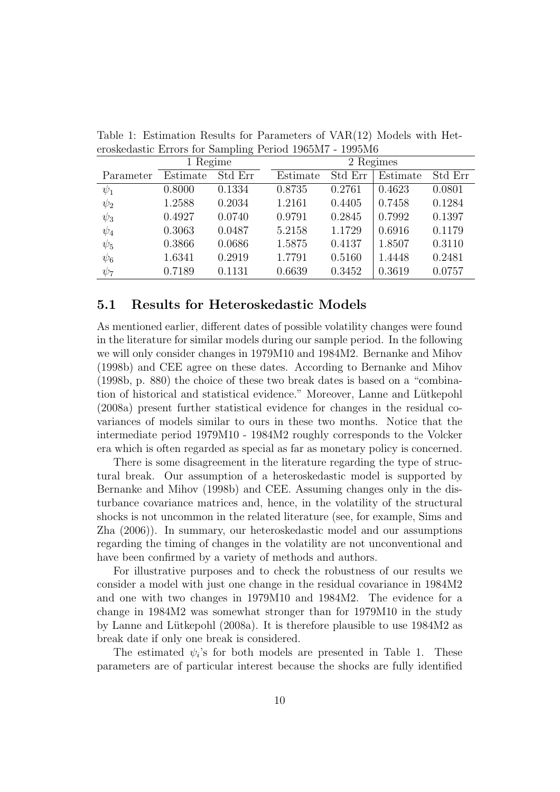|           | 1 Regime |         | 2 Regimes |         |          |         |  |
|-----------|----------|---------|-----------|---------|----------|---------|--|
| Parameter | Estimate | Std Err | Estimate  | Std Err | Estimate | Std Err |  |
| $\psi_1$  | 0.8000   | 0.1334  | 0.8735    | 0.2761  | 0.4623   | 0.0801  |  |
| $\psi_2$  | 1.2588   | 0.2034  | 1.2161    | 0.4405  | 0.7458   | 0.1284  |  |
| $\psi_3$  | 0.4927   | 0.0740  | 0.9791    | 0.2845  | 0.7992   | 0.1397  |  |
| $\psi_4$  | 0.3063   | 0.0487  | 5.2158    | 1.1729  | 0.6916   | 0.1179  |  |
| $\psi_5$  | 0.3866   | 0.0686  | 1.5875    | 0.4137  | 1.8507   | 0.3110  |  |
| $\psi_6$  | 1.6341   | 0.2919  | 1.7791    | 0.5160  | 1.4448   | 0.2481  |  |
| $\psi_7$  | 0.7189   | 0.1131  | 0.6639    | 0.3452  | 0.3619   | 0.0757  |  |

Table 1: Estimation Results for Parameters of VAR(12) Models with Heteroskedastic Errors for Sampling Period 1965M7 - 1995M6

#### 5.1 Results for Heteroskedastic Models

As mentioned earlier, different dates of possible volatility changes were found in the literature for similar models during our sample period. In the following we will only consider changes in 1979M10 and 1984M2. Bernanke and Mihov (1998b) and CEE agree on these dates. According to Bernanke and Mihov (1998b, p. 880) the choice of these two break dates is based on a "combination of historical and statistical evidence." Moreover, Lanne and Lütkepohl (2008a) present further statistical evidence for changes in the residual covariances of models similar to ours in these two months. Notice that the intermediate period 1979M10 - 1984M2 roughly corresponds to the Volcker era which is often regarded as special as far as monetary policy is concerned.

There is some disagreement in the literature regarding the type of structural break. Our assumption of a heteroskedastic model is supported by Bernanke and Mihov (1998b) and CEE. Assuming changes only in the disturbance covariance matrices and, hence, in the volatility of the structural shocks is not uncommon in the related literature (see, for example, Sims and Zha (2006)). In summary, our heteroskedastic model and our assumptions regarding the timing of changes in the volatility are not unconventional and have been confirmed by a variety of methods and authors.

For illustrative purposes and to check the robustness of our results we consider a model with just one change in the residual covariance in 1984M2 and one with two changes in 1979M10 and 1984M2. The evidence for a change in 1984M2 was somewhat stronger than for 1979M10 in the study by Lanne and Lütkepohl  $(2008a)$ . It is therefore plausible to use  $1984M2$  as break date if only one break is considered.

The estimated  $\psi_i$ 's for both models are presented in Table 1. These parameters are of particular interest because the shocks are fully identified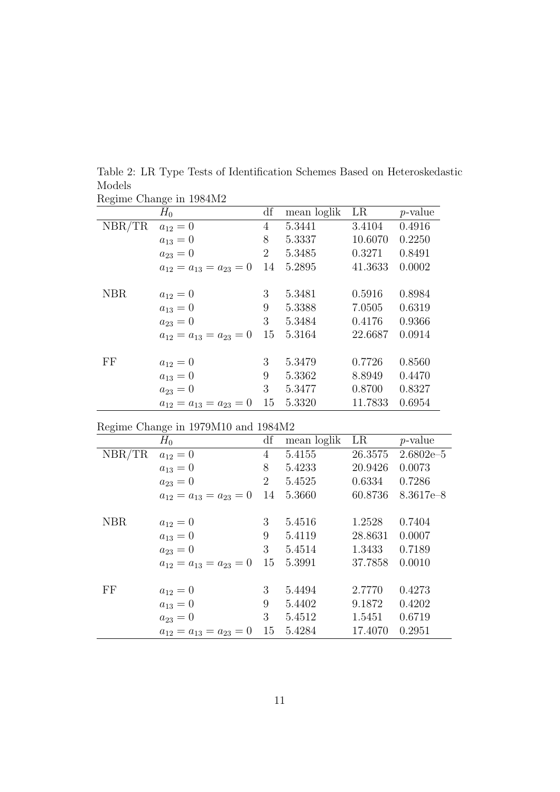|            | Regime Change in 1984M2        |                |             |         |            |
|------------|--------------------------------|----------------|-------------|---------|------------|
|            | $H_0$                          | df             | mean loglik | LR      | $p$ -value |
| NBR/TR     | $a_{12}=0$                     | 4              | 5.3441      | 3.4104  | 0.4916     |
|            | $a_{13}=0$                     | 8              | 5.3337      | 10.6070 | 0.2250     |
|            | $a_{23}=0$                     | $\overline{2}$ | 5.3485      | 0.3271  | 0.8491     |
|            | $a_{12} = a_{13} = a_{23} = 0$ | 14             | 5.2895      | 41.3633 | 0.0002     |
|            |                                |                |             |         |            |
| <b>NBR</b> | $a_{12}=0$                     | 3              | 5.3481      | 0.5916  | 0.8984     |
|            | $a_{13}=0$                     | 9              | 5.3388      | 7.0505  | 0.6319     |
|            | $a_{23}=0$                     | 3              | 5.3484      | 0.4176  | 0.9366     |
|            | $a_{12}=a_{13}=a_{23}=0$       | 15             | 5.3164      | 22.6687 | 0.0914     |
|            |                                |                |             |         |            |
| FF         | $a_{12}=0$                     | 3              | 5.3479      | 0.7726  | 0.8560     |
|            | $a_{13}=0$                     | 9              | 5.3362      | 8.8949  | 0.4470     |
|            | $a_{23}=0$                     | 3              | 5.3477      | 0.8700  | 0.8327     |
|            | $a_{12} = a_{13} = a_{23} = 0$ | 15             | 5.3320      | 11.7833 | 0.6954     |

Table 2: LR Type Tests of Identification Schemes Based on Heteroskedastic Models

|  | Regime Change in 1979M10 and 1984M2 |  |
|--|-------------------------------------|--|
|  |                                     |  |

| - 0        | $H_0$                          | df             | mean loglik | LR      | $p$ -value    |
|------------|--------------------------------|----------------|-------------|---------|---------------|
| NBR/TR     | $a_{12}=0$                     | $\overline{4}$ | 5.4155      | 26.3575 | $2.6802e-5$   |
|            | $a_{13}=0$                     | 8              | 5.4233      | 20.9426 | 0.0073        |
|            | $a_{23}=0$                     | $\overline{2}$ | 5.4525      | 0.6334  | 0.7286        |
|            | $a_{12} = a_{13} = a_{23} = 0$ | 14             | 5.3660      | 60.8736 | $8.3617e - 8$ |
|            |                                |                |             |         |               |
| <b>NBR</b> | $a_{12}=0$                     | 3              | 5.4516      | 1.2528  | 0.7404        |
|            | $a_{13}=0$                     | 9              | 5.4119      | 28.8631 | 0.0007        |
|            | $a_{23}=0$                     | 3              | 5.4514      | 1.3433  | 0.7189        |
|            | $a_{12} = a_{13} = a_{23} = 0$ | 15             | 5.3991      | 37.7858 | 0.0010        |
|            |                                |                |             |         |               |
| FF         | $a_{12}=0$                     | 3              | 5.4494      | 2.7770  | 0.4273        |
|            | $a_{13}=0$                     | 9              | 5.4402      | 9.1872  | 0.4202        |
|            | $a_{23}=0$                     | 3              | 5.4512      | 1.5451  | 0.6719        |
|            | $a_{12}=a_{13}=a_{23}=0$       | 15             | 5.4284      | 17.4070 | 0.2951        |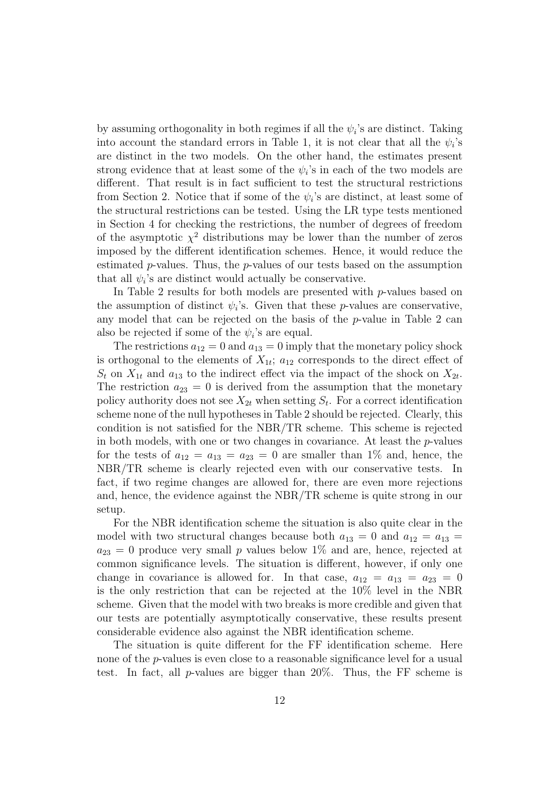by assuming orthogonality in both regimes if all the  $\psi_i$ 's are distinct. Taking into account the standard errors in Table 1, it is not clear that all the  $\psi_i$ 's are distinct in the two models. On the other hand, the estimates present strong evidence that at least some of the  $\psi_i$ 's in each of the two models are different. That result is in fact sufficient to test the structural restrictions from Section 2. Notice that if some of the  $\psi_i$ 's are distinct, at least some of the structural restrictions can be tested. Using the LR type tests mentioned in Section 4 for checking the restrictions, the number of degrees of freedom of the asymptotic  $\chi^2$  distributions may be lower than the number of zeros imposed by the different identification schemes. Hence, it would reduce the estimated  $p$ -values. Thus, the  $p$ -values of our tests based on the assumption that all  $\psi_i$ 's are distinct would actually be conservative.

In Table 2 results for both models are presented with p-values based on the assumption of distinct  $\psi_i$ 's. Given that these p-values are conservative, any model that can be rejected on the basis of the p-value in Table 2 can also be rejected if some of the  $\psi_i$ 's are equal.

The restrictions  $a_{12} = 0$  and  $a_{13} = 0$  imply that the monetary policy shock is orthogonal to the elements of  $X_{1t}$ ;  $a_{12}$  corresponds to the direct effect of  $S_t$  on  $X_{1t}$  and  $a_{13}$  to the indirect effect via the impact of the shock on  $X_{2t}$ . The restriction  $a_{23} = 0$  is derived from the assumption that the monetary policy authority does not see  $X_{2t}$  when setting  $S_t$ . For a correct identification scheme none of the null hypotheses in Table 2 should be rejected. Clearly, this condition is not satisfied for the NBR/TR scheme. This scheme is rejected in both models, with one or two changes in covariance. At least the  $p$ -values for the tests of  $a_{12} = a_{13} = a_{23} = 0$  are smaller than 1% and, hence, the NBR/TR scheme is clearly rejected even with our conservative tests. In fact, if two regime changes are allowed for, there are even more rejections and, hence, the evidence against the NBR/TR scheme is quite strong in our setup.

For the NBR identification scheme the situation is also quite clear in the model with two structural changes because both  $a_{13} = 0$  and  $a_{12} = a_{13} =$  $a_{23} = 0$  produce very small p values below 1% and are, hence, rejected at common significance levels. The situation is different, however, if only one change in covariance is allowed for. In that case,  $a_{12} = a_{13} = a_{23} = 0$ is the only restriction that can be rejected at the 10% level in the NBR scheme. Given that the model with two breaks is more credible and given that our tests are potentially asymptotically conservative, these results present considerable evidence also against the NBR identification scheme.

The situation is quite different for the FF identification scheme. Here none of the p-values is even close to a reasonable significance level for a usual test. In fact, all p-values are bigger than  $20\%$ . Thus, the FF scheme is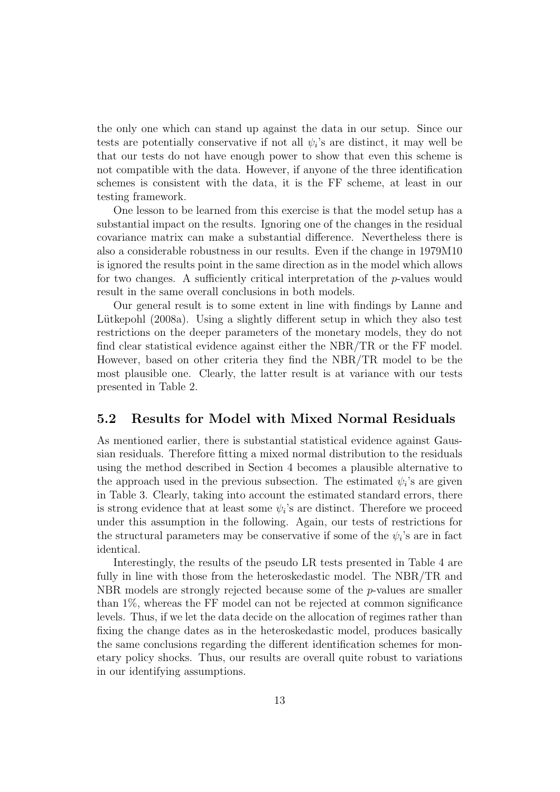the only one which can stand up against the data in our setup. Since our tests are potentially conservative if not all  $\psi_i$ 's are distinct, it may well be that our tests do not have enough power to show that even this scheme is not compatible with the data. However, if anyone of the three identification schemes is consistent with the data, it is the FF scheme, at least in our testing framework.

One lesson to be learned from this exercise is that the model setup has a substantial impact on the results. Ignoring one of the changes in the residual covariance matrix can make a substantial difference. Nevertheless there is also a considerable robustness in our results. Even if the change in 1979M10 is ignored the results point in the same direction as in the model which allows for two changes. A sufficiently critical interpretation of the p-values would result in the same overall conclusions in both models.

Our general result is to some extent in line with findings by Lanne and Lütkepohl (2008a). Using a slightly different setup in which they also test restrictions on the deeper parameters of the monetary models, they do not find clear statistical evidence against either the NBR/TR or the FF model. However, based on other criteria they find the NBR/TR model to be the most plausible one. Clearly, the latter result is at variance with our tests presented in Table 2.

#### 5.2 Results for Model with Mixed Normal Residuals

As mentioned earlier, there is substantial statistical evidence against Gaussian residuals. Therefore fitting a mixed normal distribution to the residuals using the method described in Section 4 becomes a plausible alternative to the approach used in the previous subsection. The estimated  $\psi_i$ 's are given in Table 3. Clearly, taking into account the estimated standard errors, there is strong evidence that at least some  $\psi_i$ 's are distinct. Therefore we proceed under this assumption in the following. Again, our tests of restrictions for the structural parameters may be conservative if some of the  $\psi_i$ 's are in fact identical.

Interestingly, the results of the pseudo LR tests presented in Table 4 are fully in line with those from the heteroskedastic model. The NBR/TR and NBR models are strongly rejected because some of the p-values are smaller than 1%, whereas the FF model can not be rejected at common significance levels. Thus, if we let the data decide on the allocation of regimes rather than fixing the change dates as in the heteroskedastic model, produces basically the same conclusions regarding the different identification schemes for monetary policy shocks. Thus, our results are overall quite robust to variations in our identifying assumptions.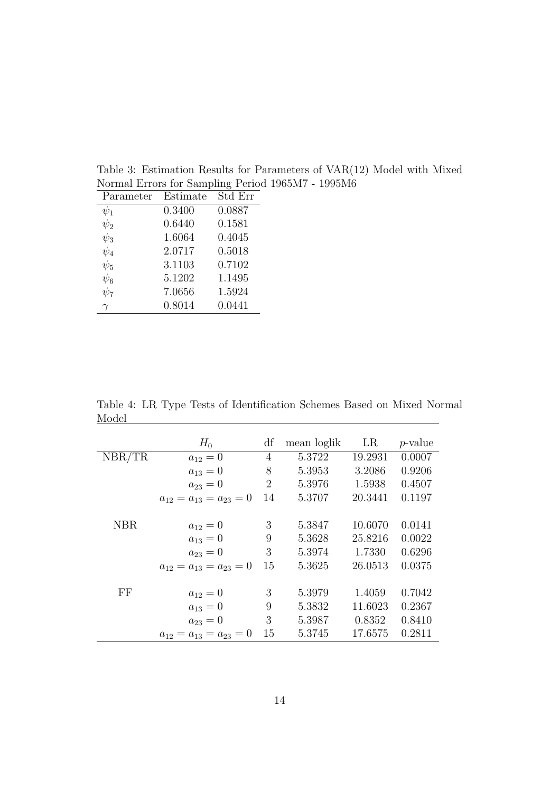| Parameter | Estimate | Std Err |
|-----------|----------|---------|
| $\psi_1$  | 0.3400   | 0.0887  |
| $\psi_2$  | 0.6440   | 0.1581  |
| $\psi_3$  | 1.6064   | 0.4045  |
| $\psi_4$  | 2.0717   | 0.5018  |
| $\psi_5$  | 3.1103   | 0.7102  |
| $\psi_6$  | 5.1202   | 1.1495  |
| $\psi_7$  | 7.0656   | 1.5924  |
| $\gamma$  | 0.8014   | 0.0441  |

Table 3: Estimation Results for Parameters of VAR(12) Model with Mixed Normal Errors for Sampling Period 1965M7 - 1995M6

Table 4: LR Type Tests of Identification Schemes Based on Mixed Normal Model Model

|            | $H_0$                          | df             | mean loglik | LR      | <i>p</i> -value |
|------------|--------------------------------|----------------|-------------|---------|-----------------|
| NBR/TR     | $a_{12}=0$                     | $\overline{4}$ | 5.3722      | 19.2931 | 0.0007          |
|            | $a_{13}=0$                     | 8              | 5.3953      | 3.2086  | 0.9206          |
|            | $a_{23}=0$                     | $\overline{2}$ | 5.3976      | 1.5938  | 0.4507          |
|            | $a_{12}=a_{13}=a_{23}=0$       | 14             | 5.3707      | 20.3441 | 0.1197          |
|            |                                |                |             |         |                 |
| <b>NBR</b> | $a_{12}=0$                     | 3              | 5.3847      | 10.6070 | 0.0141          |
|            | $a_{13}=0$                     | 9              | 5.3628      | 25.8216 | 0.0022          |
|            | $a_{23}=0$                     | 3              | 5.3974      | 1.7330  | 0.6296          |
|            | $a_{12}=a_{13}=a_{23}=0$       | 15             | 5.3625      | 26.0513 | 0.0375          |
|            |                                |                |             |         |                 |
| FF         | $a_{12}=0$                     | 3              | 5.3979      | 1.4059  | 0.7042          |
|            | $a_{13}=0$                     | 9              | 5.3832      | 11.6023 | 0.2367          |
|            | $a_{23}=0$                     | 3              | 5.3987      | 0.8352  | 0.8410          |
|            | $a_{12} = a_{13} = a_{23} = 0$ | 15             | 5.3745      | 17.6575 | 0.2811          |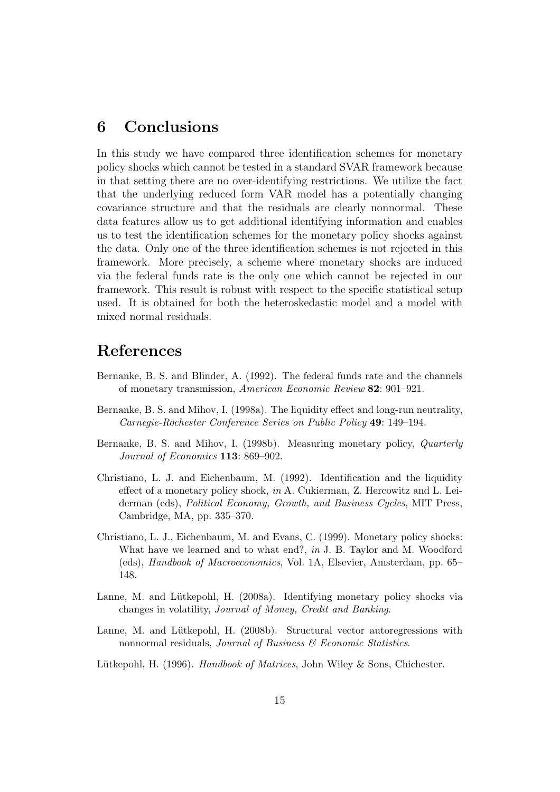### 6 Conclusions

In this study we have compared three identification schemes for monetary policy shocks which cannot be tested in a standard SVAR framework because in that setting there are no over-identifying restrictions. We utilize the fact that the underlying reduced form VAR model has a potentially changing covariance structure and that the residuals are clearly nonnormal. These data features allow us to get additional identifying information and enables us to test the identification schemes for the monetary policy shocks against the data. Only one of the three identification schemes is not rejected in this framework. More precisely, a scheme where monetary shocks are induced via the federal funds rate is the only one which cannot be rejected in our framework. This result is robust with respect to the specific statistical setup used. It is obtained for both the heteroskedastic model and a model with mixed normal residuals.

### References

- Bernanke, B. S. and Blinder, A. (1992). The federal funds rate and the channels of monetary transmission, American Economic Review 82: 901–921.
- Bernanke, B. S. and Mihov, I. (1998a). The liquidity effect and long-run neutrality, Carnegie-Rochester Conference Series on Public Policy 49: 149–194.
- Bernanke, B. S. and Mihov, I. (1998b). Measuring monetary policy, Quarterly Journal of Economics 113: 869–902.
- Christiano, L. J. and Eichenbaum, M. (1992). Identification and the liquidity effect of a monetary policy shock, in A. Cukierman, Z. Hercowitz and L. Leiderman (eds), Political Economy, Growth, and Business Cycles, MIT Press, Cambridge, MA, pp. 335–370.
- Christiano, L. J., Eichenbaum, M. and Evans, C. (1999). Monetary policy shocks: What have we learned and to what end?, in J. B. Taylor and M. Woodford (eds), Handbook of Macroeconomics, Vol. 1A, Elsevier, Amsterdam, pp. 65– 148.
- Lanne, M. and Lütkepohl, H. (2008a). Identifying monetary policy shocks via changes in volatility, Journal of Money, Credit and Banking.
- Lanne, M. and Lütkepohl, H. (2008b). Structural vector autoregressions with nonnormal residuals, Journal of Business  $\mathcal C$  Economic Statistics.
- Lütkepohl, H. (1996). Handbook of Matrices, John Wiley & Sons, Chichester.